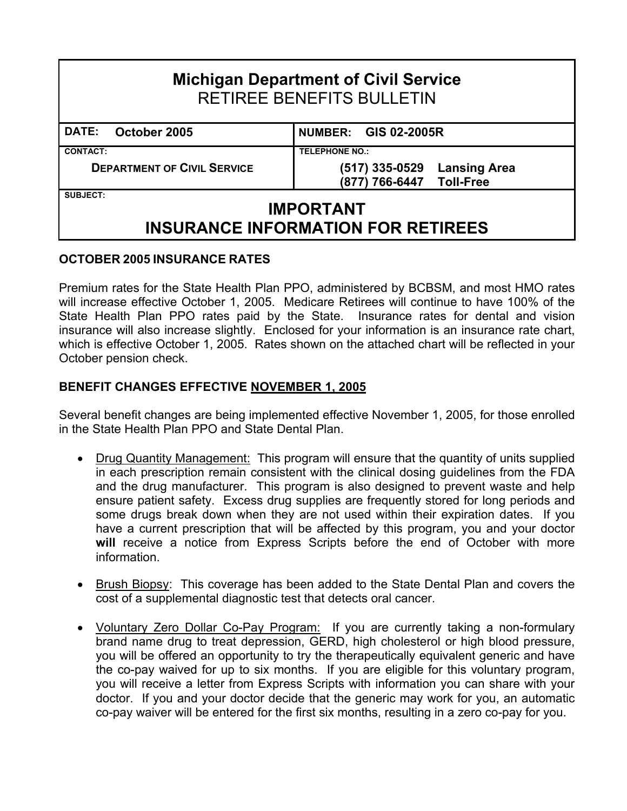# **Michigan Department of Civil Service**  RETIREE BENEFITS BULLETIN

| <b>October 2005</b><br><b>DATE:</b> | NUMBER: GIS 02-2005R                                       |
|-------------------------------------|------------------------------------------------------------|
| <b>CONTACT:</b>                     | <b>TELEPHONE NO.:</b>                                      |
| <b>DEPARTMENT OF CIVIL SERVICE</b>  | (517) 335-0529 Lansing Area<br>(877) 766-6447<br>Toll-Free |
| <b>SUBJECT:</b>                     |                                                            |

# **IMPORTANT INSURANCE INFORMATION FOR RETIREES**

## **OCTOBER 2005 INSURANCE RATES**

Premium rates for the State Health Plan PPO, administered by BCBSM, and most HMO rates will increase effective October 1, 2005. Medicare Retirees will continue to have 100% of the State Health Plan PPO rates paid by the State. Insurance rates for dental and vision insurance will also increase slightly. Enclosed for your information is an insurance rate chart, which is effective October 1, 2005. Rates shown on the attached chart will be reflected in your October pension check.

# **BENEFIT CHANGES EFFECTIVE NOVEMBER 1, 2005**

Several benefit changes are being implemented effective November 1, 2005, for those enrolled in the State Health Plan PPO and State Dental Plan.

- Drug Quantity Management: This program will ensure that the quantity of units supplied in each prescription remain consistent with the clinical dosing guidelines from the FDA and the drug manufacturer. This program is also designed to prevent waste and help ensure patient safety. Excess drug supplies are frequently stored for long periods and some drugs break down when they are not used within their expiration dates. If you have a current prescription that will be affected by this program, you and your doctor will receive a notice from Express Scripts before the end of October with more information.
- Brush Biopsy: This coverage has been added to the State Dental Plan and covers the cost of a supplemental diagnostic test that detects oral cancer.
- Voluntary Zero Dollar Co-Pay Program: If you are currently taking a non-formulary brand name drug to treat depression, GERD, high cholesterol or high blood pressure, you will be offered an opportunity to try the therapeutically equivalent generic and have the co-pay waived for up to six months. If you are eligible for this voluntary program, you will receive a letter from Express Scripts with information you can share with your doctor. If you and your doctor decide that the generic may work for you, an automatic co-pay waiver will be entered for the first six months, resulting in a zero co-pay for you.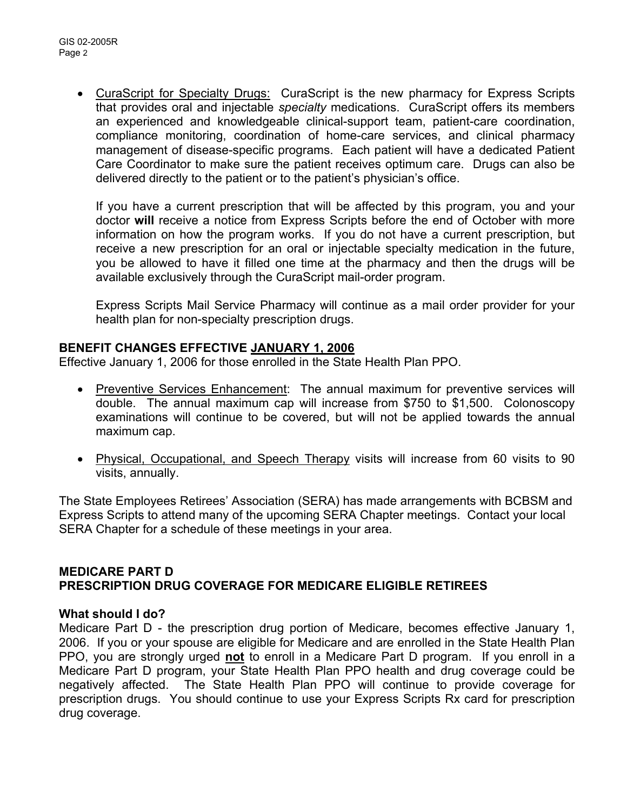• CuraScript for Specialty Drugs: CuraScript is the new pharmacy for Express Scripts that provides oral and injectable *specialty* medications. CuraScript offers its members an experienced and knowledgeable clinical-support team, patient-care coordination, compliance monitoring, coordination of home-care services, and clinical pharmacy management of disease-specific programs. Each patient will have a dedicated Patient Care Coordinator to make sure the patient receives optimum care. Drugs can also be delivered directly to the patient or to the patient's physician's office.

If you have a current prescription that will be affected by this program, you and your doctor **will** receive a notice from Express Scripts before the end of October with more information on how the program works. If you do not have a current prescription, but receive a new prescription for an oral or injectable specialty medication in the future, you be allowed to have it filled one time at the pharmacy and then the drugs will be available exclusively through the CuraScript mail-order program.

Express Scripts Mail Service Pharmacy will continue as a mail order provider for your health plan for non-specialty prescription drugs.

## **BENEFIT CHANGES EFFECTIVE JANUARY 1, 2006**

Effective January 1, 2006 for those enrolled in the State Health Plan PPO.

- Preventive Services Enhancement: The annual maximum for preventive services will double. The annual maximum cap will increase from \$750 to \$1,500. Colonoscopy examinations will continue to be covered, but will not be applied towards the annual maximum cap.
- Physical, Occupational, and Speech Therapy visits will increase from 60 visits to 90 visits, annually.

The State Employees Retirees' Association (SERA) has made arrangements with BCBSM and Express Scripts to attend many of the upcoming SERA Chapter meetings. Contact your local SERA Chapter for a schedule of these meetings in your area.

#### **MEDICARE PART D PRESCRIPTION DRUG COVERAGE FOR MEDICARE ELIGIBLE RETIREES**

#### **What should I do?**

Medicare Part D - the prescription drug portion of Medicare, becomes effective January 1, 2006. If you or your spouse are eligible for Medicare and are enrolled in the State Health Plan PPO, you are strongly urged **not** to enroll in a Medicare Part D program. If you enroll in a Medicare Part D program, your State Health Plan PPO health and drug coverage could be negatively affected. The State Health Plan PPO will continue to provide coverage for prescription drugs. You should continue to use your Express Scripts Rx card for prescription drug coverage.